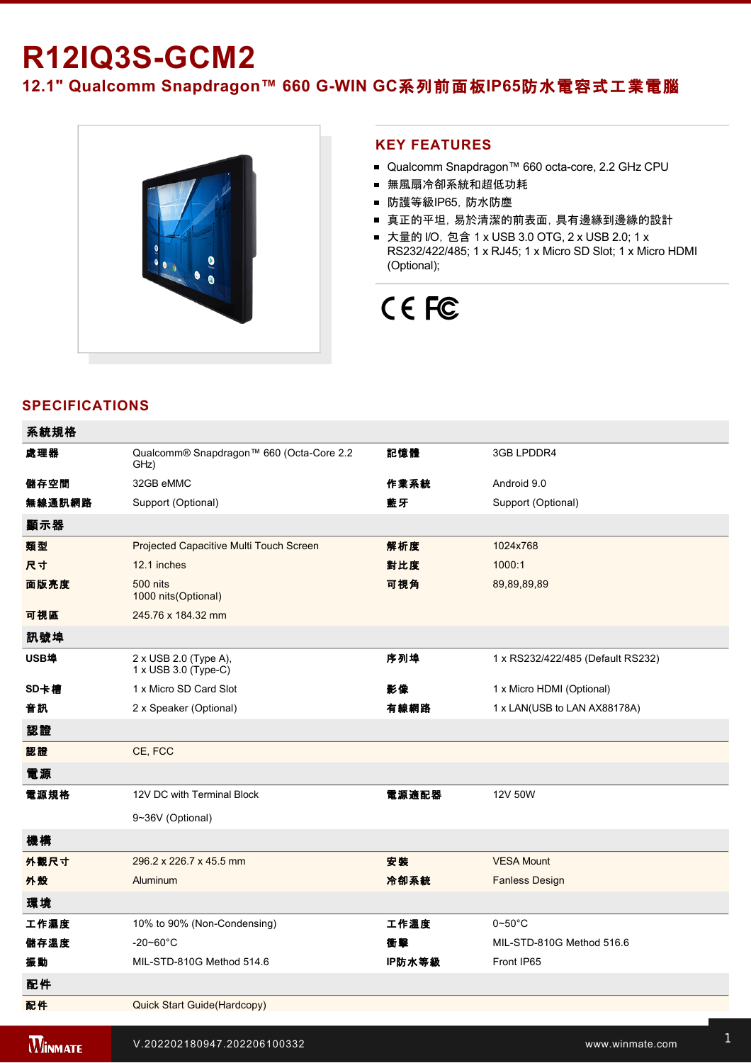# **R12IQ3S-GCM2**

12.1" Qualcomm Snapdragon™ 660 G-WIN GC系列前面板IP65防水電容式工業電腦



### **KEY FEATURES**

- Qualcomm Snapdragon™ 660 octa-core, 2.2 GHz CPU
- 無風扇冷卻系統和超低功耗
- 防護等級IP65,防水防塵
- 真正的平坦,易於清潔的前表面,具有邊緣到邊緣的設計
- 大量的 I/O, 包含 1 x USB 3.0 OTG, 2 x USB 2.0; 1 x RS232/422/485; 1 x RJ45; 1 x Micro SD Slot; 1 x Micro HDMI (Optional);

## CE FC

## **SPECIFICATIONS**

| 系統規格   |                                                      |        |                                   |
|--------|------------------------------------------------------|--------|-----------------------------------|
| 處理器    | Qualcomm® Snapdragon™ 660 (Octa-Core 2.2<br>GHz)     | 記憶體    | 3GB LPDDR4                        |
| 儲存空間   | 32GB eMMC                                            | 作業系統   | Android 9.0                       |
| 無線通訊網路 | Support (Optional)                                   | 藍牙     | Support (Optional)                |
| 顯示器    |                                                      |        |                                   |
| 類型     | Projected Capacitive Multi Touch Screen              | 解析度    | 1024x768                          |
| 尺寸     | 12.1 inches                                          | 對比度    | 1000:1                            |
| 面版亮度   | <b>500 nits</b><br>1000 nits (Optional)              | 可視角    | 89,89,89,89                       |
| 可視區    | 245.76 x 184.32 mm                                   |        |                                   |
| 訊號埠    |                                                      |        |                                   |
| USB埠   | 2 x USB 2.0 (Type A),<br>$1 \times$ USB 3.0 (Type-C) | 序列埠    | 1 x RS232/422/485 (Default RS232) |
| SD卡槽   | 1 x Micro SD Card Slot                               | 影像     | 1 x Micro HDMI (Optional)         |
| 音訊     | 2 x Speaker (Optional)                               | 有線網路   | 1 x LAN(USB to LAN AX88178A)      |
| 認證     |                                                      |        |                                   |
| 認證     | CE, FCC                                              |        |                                   |
| 電源     |                                                      |        |                                   |
| 電源規格   | 12V DC with Terminal Block                           | 電源適配器  | 12V 50W                           |
|        | 9~36V (Optional)                                     |        |                                   |
| 機構     |                                                      |        |                                   |
| 外觀尺寸   | 296.2 x 226.7 x 45.5 mm                              | 安装     | <b>VESA Mount</b>                 |
| 外殼     | Aluminum                                             | 冷卻系統   | <b>Fanless Design</b>             |
| 環境     |                                                      |        |                                   |
| 工作濕度   | 10% to 90% (Non-Condensing)                          | 工作溫度   | $0\neg 50^\circ C$                |
| 儲存溫度   | $-20 - 60^{\circ}$ C                                 | 衝擊     | MIL-STD-810G Method 516.6         |
| 振動     | MIL-STD-810G Method 514.6                            | IP防水等級 | Front IP65                        |
| 配件     |                                                      |        |                                   |
| 配件     | Quick Start Guide(Hardcopy)                          |        |                                   |
|        |                                                      |        |                                   |

**WINMATE** 

控制

 $\rm{V.202202180947.202206100332}$  . Www.winmate.com  $^{\rm 1}$